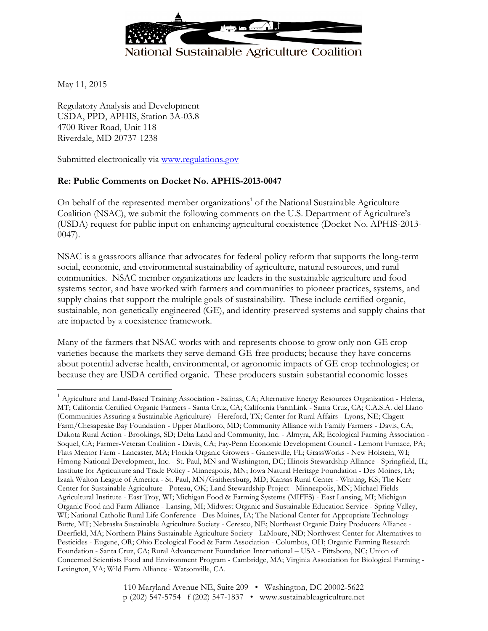

May 11, 2015

Regulatory Analysis and Development USDA, PPD, APHIS, Station 3A-03.8 4700 River Road, Unit 118 Riverdale, MD 20737-1238

Submitted electronically via www.regulations.gov

### **Re: Public Comments on Docket No. APHIS-2013-0047**

On behalf of the represented member organizations<sup>1</sup> of the National Sustainable Agriculture Coalition (NSAC), we submit the following comments on the U.S. Department of Agriculture's (USDA) request for public input on enhancing agricultural coexistence (Docket No. APHIS-2013- 0047).

NSAC is a grassroots alliance that advocates for federal policy reform that supports the long-term social, economic, and environmental sustainability of agriculture, natural resources, and rural communities. NSAC member organizations are leaders in the sustainable agriculture and food systems sector, and have worked with farmers and communities to pioneer practices, systems, and supply chains that support the multiple goals of sustainability. These include certified organic, sustainable, non-genetically engineered (GE), and identity-preserved systems and supply chains that are impacted by a coexistence framework.

Many of the farmers that NSAC works with and represents choose to grow only non-GE crop varieties because the markets they serve demand GE-free products; because they have concerns about potential adverse health, environmental, or agronomic impacts of GE crop technologies; or because they are USDA certified organic. These producers sustain substantial economic losses

<sup>&</sup>lt;sup>1</sup> Agriculture and Land-Based Training Association - Salinas, CA; Alternative Energy Resources Organization - Helena, MT; California Certified Organic Farmers - Santa Cruz, CA; California FarmLink - Santa Cruz, CA; C.A.S.A. del Llano (Communities Assuring a Sustainable Agriculture) - Hereford, TX; Center for Rural Affairs - Lyons, NE; Clagett Farm/Chesapeake Bay Foundation - Upper Marlboro, MD; Community Alliance with Family Farmers - Davis, CA; Dakota Rural Action - Brookings, SD; Delta Land and Community, Inc. - Almyra, AR; Ecological Farming Association - Soquel, CA; Farmer-Veteran Coalition - Davis, CA; Fay-Penn Economic Development Council - Lemont Furnace, PA; Flats Mentor Farm - Lancaster, MA; Florida Organic Growers - Gainesville, FL; GrassWorks - New Holstein, WI; Hmong National Development, Inc. - St. Paul, MN and Washington, DC; Illinois Stewardship Alliance - Springfield, IL; Institute for Agriculture and Trade Policy - Minneapolis, MN; Iowa Natural Heritage Foundation - Des Moines, IA; Izaak Walton League of America - St. Paul, MN/Gaithersburg, MD; Kansas Rural Center - Whiting, KS; The Kerr Center for Sustainable Agriculture - Poteau, OK; Land Stewardship Project - Minneapolis, MN; Michael Fields Agricultural Institute - East Troy, WI; Michigan Food & Farming Systems (MIFFS) - East Lansing, MI; Michigan Organic Food and Farm Alliance - Lansing, MI; Midwest Organic and Sustainable Education Service - Spring Valley, WI; National Catholic Rural Life Conference - Des Moines, IA; The National Center for Appropriate Technology - Butte, MT; Nebraska Sustainable Agriculture Society - Ceresco, NE; Northeast Organic Dairy Producers Alliance - Deerfield, MA; Northern Plains Sustainable Agriculture Society - LaMoure, ND; Northwest Center for Alternatives to Pesticides - Eugene, OR; Ohio Ecological Food & Farm Association - Columbus, OH; Organic Farming Research Foundation - Santa Cruz, CA; Rural Advancement Foundation International – USA - Pittsboro, NC; Union of Concerned Scientists Food and Environment Program - Cambridge, MA; Virginia Association for Biological Farming - Lexington, VA; Wild Farm Alliance - Watsonville, CA.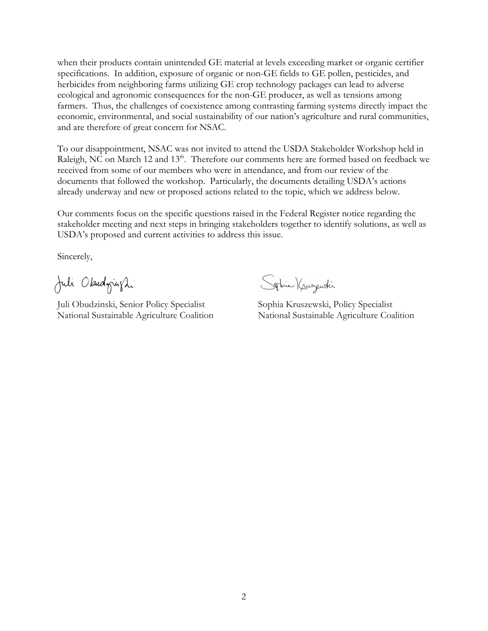when their products contain unintended GE material at levels exceeding market or organic certifier specifications. In addition, exposure of organic or non-GE fields to GE pollen, pesticides, and herbicides from neighboring farms utilizing GE crop technology packages can lead to adverse ecological and agronomic consequences for the non-GE producer, as well as tensions among farmers. Thus, the challenges of coexistence among contrasting farming systems directly impact the economic, environmental, and social sustainability of our nation's agriculture and rural communities, and are therefore of great concern for NSAC.

To our disappointment, NSAC was not invited to attend the USDA Stakeholder Workshop held in Raleigh, NC on March 12 and 13<sup>th</sup>. Therefore our comments here are formed based on feedback we received from some of our members who were in attendance, and from our review of the documents that followed the workshop. Particularly, the documents detailing USDA's actions already underway and new or proposed actions related to the topic, which we address below.

Our comments focus on the specific questions raised in the Federal Register notice regarding the stakeholder meeting and next steps in bringing stakeholders together to identify solutions, as well as USDA's proposed and current activities to address this issue.

Sincerely,

Juli Okudnight

Juli Obudzinski, Senior Policy Specialist Sophia Kruszewski, Policy Specialist

Sphie Krungwshi

National Sustainable Agriculture Coalition National Sustainable Agriculture Coalition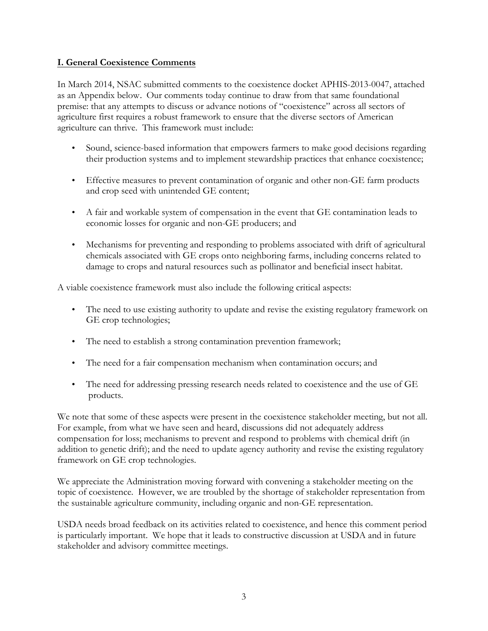### **I. General Coexistence Comments**

In March 2014, NSAC submitted comments to the coexistence docket APHIS-2013-0047, attached as an Appendix below. Our comments today continue to draw from that same foundational premise: that any attempts to discuss or advance notions of "coexistence" across all sectors of agriculture first requires a robust framework to ensure that the diverse sectors of American agriculture can thrive. This framework must include:

- Sound, science-based information that empowers farmers to make good decisions regarding their production systems and to implement stewardship practices that enhance coexistence;
- Effective measures to prevent contamination of organic and other non-GE farm products and crop seed with unintended GE content;
- A fair and workable system of compensation in the event that GE contamination leads to economic losses for organic and non-GE producers; and
- Mechanisms for preventing and responding to problems associated with drift of agricultural chemicals associated with GE crops onto neighboring farms, including concerns related to damage to crops and natural resources such as pollinator and beneficial insect habitat.

A viable coexistence framework must also include the following critical aspects:

- The need to use existing authority to update and revise the existing regulatory framework on GE crop technologies;
- The need to establish a strong contamination prevention framework;
- The need for a fair compensation mechanism when contamination occurs; and
- The need for addressing pressing research needs related to coexistence and the use of GE products.

We note that some of these aspects were present in the coexistence stakeholder meeting, but not all. For example, from what we have seen and heard, discussions did not adequately address compensation for loss; mechanisms to prevent and respond to problems with chemical drift (in addition to genetic drift); and the need to update agency authority and revise the existing regulatory framework on GE crop technologies.

We appreciate the Administration moving forward with convening a stakeholder meeting on the topic of coexistence. However, we are troubled by the shortage of stakeholder representation from the sustainable agriculture community, including organic and non-GE representation.

USDA needs broad feedback on its activities related to coexistence, and hence this comment period is particularly important. We hope that it leads to constructive discussion at USDA and in future stakeholder and advisory committee meetings.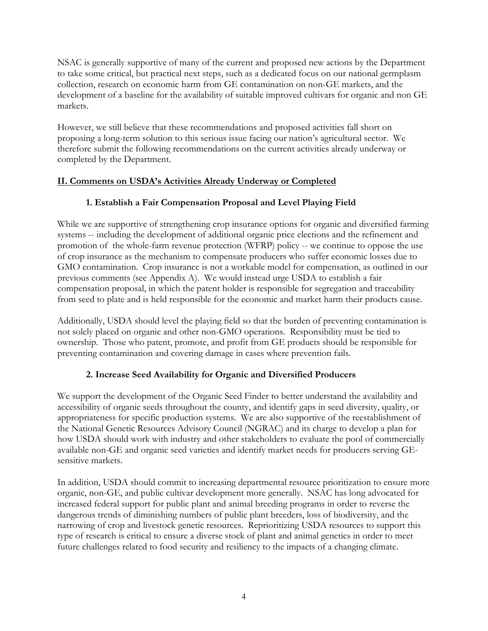NSAC is generally supportive of many of the current and proposed new actions by the Department to take some critical, but practical next steps, such as a dedicated focus on our national germplasm collection, research on economic harm from GE contamination on non-GE markets, and the development of a baseline for the availability of suitable improved cultivars for organic and non GE markets.

However, we still believe that these recommendations and proposed activities fall short on proposing a long-term solution to this serious issue facing our nation's agricultural sector. We therefore submit the following recommendations on the current activities already underway or completed by the Department.

# **II. Comments on USDA's Activities Already Underway or Completed**

# **1. Establish a Fair Compensation Proposal and Level Playing Field**

While we are supportive of strengthening crop insurance options for organic and diversified farming systems -- including the development of additional organic price elections and the refinement and promotion of the whole-farm revenue protection (WFRP) policy -- we continue to oppose the use of crop insurance as the mechanism to compensate producers who suffer economic losses due to GMO contamination. Crop insurance is not a workable model for compensation, as outlined in our previous comments (see Appendix A). We would instead urge USDA to establish a fair compensation proposal, in which the patent holder is responsible for segregation and traceability from seed to plate and is held responsible for the economic and market harm their products cause.

Additionally, USDA should level the playing field so that the burden of preventing contamination is not solely placed on organic and other non-GMO operations. Responsibility must be tied to ownership. Those who patent, promote, and profit from GE products should be responsible for preventing contamination and covering damage in cases where prevention fails.

# **2. Increase Seed Availability for Organic and Diversified Producers**

We support the development of the Organic Seed Finder to better understand the availability and accessibility of organic seeds throughout the county, and identify gaps in seed diversity, quality, or appropriateness for specific production systems. We are also supportive of the reestablishment of the National Genetic Resources Advisory Council (NGRAC) and its charge to develop a plan for how USDA should work with industry and other stakeholders to evaluate the pool of commercially available non-GE and organic seed varieties and identify market needs for producers serving GEsensitive markets.

In addition, USDA should commit to increasing departmental resource prioritization to ensure more organic, non-GE, and public cultivar development more generally. NSAC has long advocated for increased federal support for public plant and animal breeding programs in order to reverse the dangerous trends of diminishing numbers of public plant breeders, loss of biodiversity, and the narrowing of crop and livestock genetic resources. Reprioritizing USDA resources to support this type of research is critical to ensure a diverse stock of plant and animal genetics in order to meet future challenges related to food security and resiliency to the impacts of a changing climate.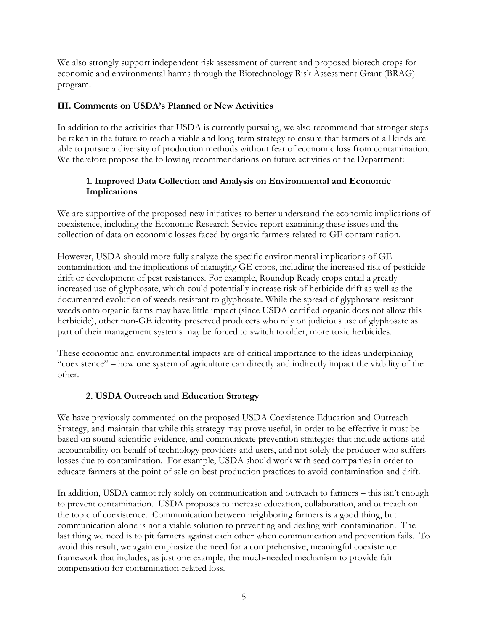We also strongly support independent risk assessment of current and proposed biotech crops for economic and environmental harms through the Biotechnology Risk Assessment Grant (BRAG) program.

### **III. Comments on USDA's Planned or New Activities**

In addition to the activities that USDA is currently pursuing, we also recommend that stronger steps be taken in the future to reach a viable and long-term strategy to ensure that farmers of all kinds are able to pursue a diversity of production methods without fear of economic loss from contamination. We therefore propose the following recommendations on future activities of the Department:

## **1. Improved Data Collection and Analysis on Environmental and Economic Implications**

We are supportive of the proposed new initiatives to better understand the economic implications of coexistence, including the Economic Research Service report examining these issues and the collection of data on economic losses faced by organic farmers related to GE contamination.

However, USDA should more fully analyze the specific environmental implications of GE contamination and the implications of managing GE crops, including the increased risk of pesticide drift or development of pest resistances. For example, Roundup Ready crops entail a greatly increased use of glyphosate, which could potentially increase risk of herbicide drift as well as the documented evolution of weeds resistant to glyphosate. While the spread of glyphosate-resistant weeds onto organic farms may have little impact (since USDA certified organic does not allow this herbicide), other non-GE identity preserved producers who rely on judicious use of glyphosate as part of their management systems may be forced to switch to older, more toxic herbicides.

These economic and environmental impacts are of critical importance to the ideas underpinning "coexistence" – how one system of agriculture can directly and indirectly impact the viability of the other.

# **2. USDA Outreach and Education Strategy**

We have previously commented on the proposed USDA Coexistence Education and Outreach Strategy, and maintain that while this strategy may prove useful, in order to be effective it must be based on sound scientific evidence, and communicate prevention strategies that include actions and accountability on behalf of technology providers and users, and not solely the producer who suffers losses due to contamination. For example, USDA should work with seed companies in order to educate farmers at the point of sale on best production practices to avoid contamination and drift.

In addition, USDA cannot rely solely on communication and outreach to farmers – this isn't enough to prevent contamination. USDA proposes to increase education, collaboration, and outreach on the topic of coexistence. Communication between neighboring farmers is a good thing, but communication alone is not a viable solution to preventing and dealing with contamination. The last thing we need is to pit farmers against each other when communication and prevention fails. To avoid this result, we again emphasize the need for a comprehensive, meaningful coexistence framework that includes, as just one example, the much-needed mechanism to provide fair compensation for contamination-related loss.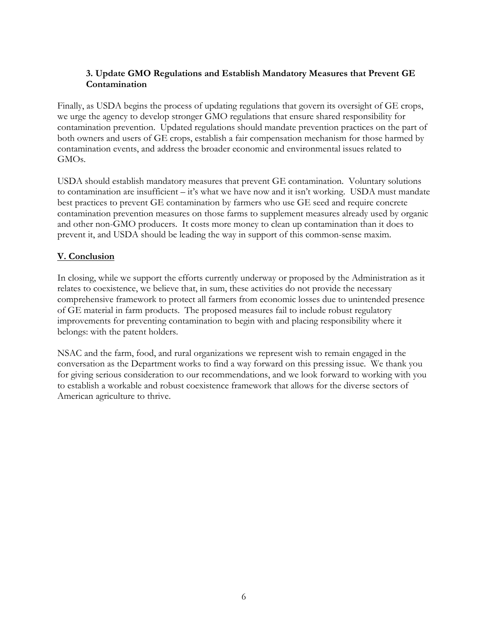## **3. Update GMO Regulations and Establish Mandatory Measures that Prevent GE Contamination**

Finally, as USDA begins the process of updating regulations that govern its oversight of GE crops, we urge the agency to develop stronger GMO regulations that ensure shared responsibility for contamination prevention. Updated regulations should mandate prevention practices on the part of both owners and users of GE crops, establish a fair compensation mechanism for those harmed by contamination events, and address the broader economic and environmental issues related to GMOs.

USDA should establish mandatory measures that prevent GE contamination. Voluntary solutions to contamination are insufficient – it's what we have now and it isn't working. USDA must mandate best practices to prevent GE contamination by farmers who use GE seed and require concrete contamination prevention measures on those farms to supplement measures already used by organic and other non-GMO producers. It costs more money to clean up contamination than it does to prevent it, and USDA should be leading the way in support of this common-sense maxim.

# **V. Conclusion**

In closing, while we support the efforts currently underway or proposed by the Administration as it relates to coexistence, we believe that, in sum, these activities do not provide the necessary comprehensive framework to protect all farmers from economic losses due to unintended presence of GE material in farm products. The proposed measures fail to include robust regulatory improvements for preventing contamination to begin with and placing responsibility where it belongs: with the patent holders.

NSAC and the farm, food, and rural organizations we represent wish to remain engaged in the conversation as the Department works to find a way forward on this pressing issue. We thank you for giving serious consideration to our recommendations, and we look forward to working with you to establish a workable and robust coexistence framework that allows for the diverse sectors of American agriculture to thrive.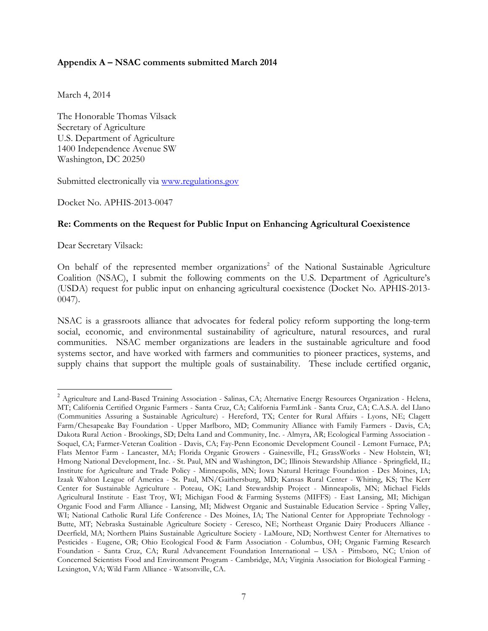#### **Appendix A – NSAC comments submitted March 2014**

March 4, 2014

The Honorable Thomas Vilsack Secretary of Agriculture U.S. Department of Agriculture 1400 Independence Avenue SW Washington, DC 20250

Submitted electronically via www.regulations.gov

Docket No. APHIS-2013-0047

#### **Re: Comments on the Request for Public Input on Enhancing Agricultural Coexistence**

Dear Secretary Vilsack:

On behalf of the represented member organizations<sup>2</sup> of the National Sustainable Agriculture Coalition (NSAC), I submit the following comments on the U.S. Department of Agriculture's (USDA) request for public input on enhancing agricultural coexistence (Docket No. APHIS-2013- 0047).

NSAC is a grassroots alliance that advocates for federal policy reform supporting the long-term social, economic, and environmental sustainability of agriculture, natural resources, and rural communities. NSAC member organizations are leaders in the sustainable agriculture and food systems sector, and have worked with farmers and communities to pioneer practices, systems, and supply chains that support the multiple goals of sustainability. These include certified organic,

 <sup>2</sup> Agriculture and Land-Based Training Association - Salinas, CA; Alternative Energy Resources Organization - Helena, MT; California Certified Organic Farmers - Santa Cruz, CA; California FarmLink - Santa Cruz, CA; C.A.S.A. del Llano (Communities Assuring a Sustainable Agriculture) - Hereford, TX; Center for Rural Affairs - Lyons, NE; Clagett Farm/Chesapeake Bay Foundation - Upper Marlboro, MD; Community Alliance with Family Farmers - Davis, CA; Dakota Rural Action - Brookings, SD; Delta Land and Community, Inc. - Almyra, AR; Ecological Farming Association - Soquel, CA; Farmer-Veteran Coalition - Davis, CA; Fay-Penn Economic Development Council - Lemont Furnace, PA; Flats Mentor Farm - Lancaster, MA; Florida Organic Growers - Gainesville, FL; GrassWorks - New Holstein, WI; Hmong National Development, Inc. - St. Paul, MN and Washington, DC; Illinois Stewardship Alliance - Springfield, IL; Institute for Agriculture and Trade Policy - Minneapolis, MN; Iowa Natural Heritage Foundation - Des Moines, IA; Izaak Walton League of America - St. Paul, MN/Gaithersburg, MD; Kansas Rural Center - Whiting, KS; The Kerr Center for Sustainable Agriculture - Poteau, OK; Land Stewardship Project - Minneapolis, MN; Michael Fields Agricultural Institute - East Troy, WI; Michigan Food & Farming Systems (MIFFS) - East Lansing, MI; Michigan Organic Food and Farm Alliance - Lansing, MI; Midwest Organic and Sustainable Education Service - Spring Valley, WI; National Catholic Rural Life Conference - Des Moines, IA; The National Center for Appropriate Technology - Butte, MT; Nebraska Sustainable Agriculture Society - Ceresco, NE; Northeast Organic Dairy Producers Alliance - Deerfield, MA; Northern Plains Sustainable Agriculture Society - LaMoure, ND; Northwest Center for Alternatives to Pesticides - Eugene, OR; Ohio Ecological Food & Farm Association - Columbus, OH; Organic Farming Research Foundation - Santa Cruz, CA; Rural Advancement Foundation International – USA - Pittsboro, NC; Union of Concerned Scientists Food and Environment Program - Cambridge, MA; Virginia Association for Biological Farming - Lexington, VA; Wild Farm Alliance - Watsonville, CA.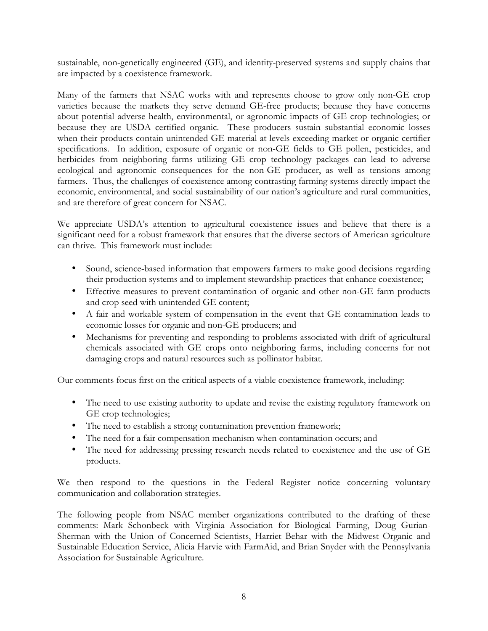sustainable, non-genetically engineered (GE), and identity-preserved systems and supply chains that are impacted by a coexistence framework.

Many of the farmers that NSAC works with and represents choose to grow only non-GE crop varieties because the markets they serve demand GE-free products; because they have concerns about potential adverse health, environmental, or agronomic impacts of GE crop technologies; or because they are USDA certified organic. These producers sustain substantial economic losses when their products contain unintended GE material at levels exceeding market or organic certifier specifications. In addition, exposure of organic or non-GE fields to GE pollen, pesticides, and herbicides from neighboring farms utilizing GE crop technology packages can lead to adverse ecological and agronomic consequences for the non-GE producer, as well as tensions among farmers. Thus, the challenges of coexistence among contrasting farming systems directly impact the economic, environmental, and social sustainability of our nation's agriculture and rural communities, and are therefore of great concern for NSAC.

We appreciate USDA's attention to agricultural coexistence issues and believe that there is a significant need for a robust framework that ensures that the diverse sectors of American agriculture can thrive. This framework must include:

- Sound, science-based information that empowers farmers to make good decisions regarding their production systems and to implement stewardship practices that enhance coexistence;
- Effective measures to prevent contamination of organic and other non-GE farm products and crop seed with unintended GE content;
- A fair and workable system of compensation in the event that GE contamination leads to economic losses for organic and non-GE producers; and
- Mechanisms for preventing and responding to problems associated with drift of agricultural chemicals associated with GE crops onto neighboring farms, including concerns for not damaging crops and natural resources such as pollinator habitat.

Our comments focus first on the critical aspects of a viable coexistence framework, including:

- The need to use existing authority to update and revise the existing regulatory framework on GE crop technologies;
- The need to establish a strong contamination prevention framework;
- The need for a fair compensation mechanism when contamination occurs; and
- The need for addressing pressing research needs related to coexistence and the use of GE products.

We then respond to the questions in the Federal Register notice concerning voluntary communication and collaboration strategies.

The following people from NSAC member organizations contributed to the drafting of these comments: Mark Schonbeck with Virginia Association for Biological Farming, Doug Gurian-Sherman with the Union of Concerned Scientists, Harriet Behar with the Midwest Organic and Sustainable Education Service, Alicia Harvie with FarmAid, and Brian Snyder with the Pennsylvania Association for Sustainable Agriculture.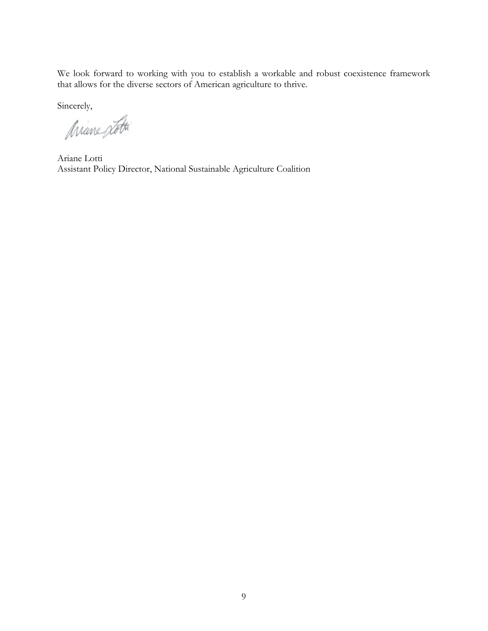We look forward to working with you to establish a workable and robust coexistence framework that allows for the diverse sectors of American agriculture to thrive.

Sincerely,

Ariane potti

Ariane Lotti Assistant Policy Director, National Sustainable Agriculture Coalition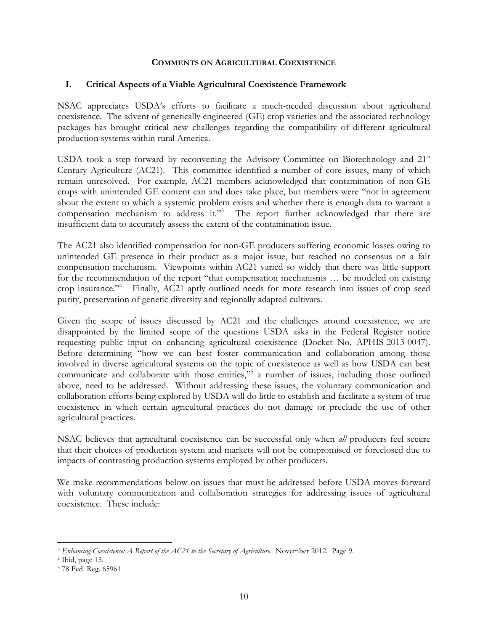#### **COMMENTS ON AGRICULTURAL COEXISTENCE**

#### **I. Critical Aspects of a Viable Agricultural Coexistence Framework**

NSAC appreciates USDA's efforts to facilitate a much-needed discussion about agricultural coexistence. The advent of genetically engineered (GE) crop varieties and the associated technology packages has brought critical new challenges regarding the compatibility of different agricultural production systems within rural America.

USDA took a step forward by reconvening the Advisory Committee on Biotechnology and  $21<sup>st</sup>$ Century Agriculture (AC21). This committee identified a number of core issues, many of which remain unresolved. For example, AC21 members acknowledged that contamination of non-GE crops with unintended GE content can and does take place, but members were "not in agreement about the extent to which a systemic problem exists and whether there is enough data to warrant a compensation mechanism to address it."<sup>3</sup> The report further acknowledged that there are insufficient data to accurately assess the extent of the contamination issue.

The AC21 also identified compensation for non-GE producers suffering economic losses owing to unintended GE presence in their product as a major issue, but reached no consensus on a fair compensation mechanism. Viewpoints within AC21 varied so widely that there was little support for the recommendation of the report "that compensation mechanisms … be modeled on existing crop insurance."4 Finally, AC21 aptly outlined needs for more research into issues of crop seed purity, preservation of genetic diversity and regionally adapted cultivars.

Given the scope of issues discussed by AC21 and the challenges around coexistence, we are disappointed by the limited scope of the questions USDA asks in the Federal Register notice requesting public input on enhancing agricultural coexistence (Docket No. APHIS-2013-0047). Before determining "how we can best foster communication and collaboration among those involved in diverse agricultural systems on the topic of coexistence as well as how USDA can best communicate and collaborate with those entities,"<sup>5</sup> a number of issues, including those outlined above, need to be addressed. Without addressing these issues, the voluntary communication and collaboration efforts being explored by USDA will do little to establish and facilitate a system of true coexistence in which certain agricultural practices do not damage or preclude the use of other agricultural practices.

NSAC believes that agricultural coexistence can be successful only when *all* producers feel secure that their choices of production system and markets will not be compromised or foreclosed due to impacts of contrasting production systems employed by other producers.

We make recommendations below on issues that must be addressed before USDA moves forward with voluntary communication and collaboration strategies for addressing issues of agricultural coexistence. These include:

 $\overline{a}$ <sup>3</sup> *Enhancing Coexistence: A Report of the AC21 to the Secretary of Agriculture*. November 2012. Page 9. 4 Ibid, page 15.

<sup>5</sup> 78 Fed. Reg. 65961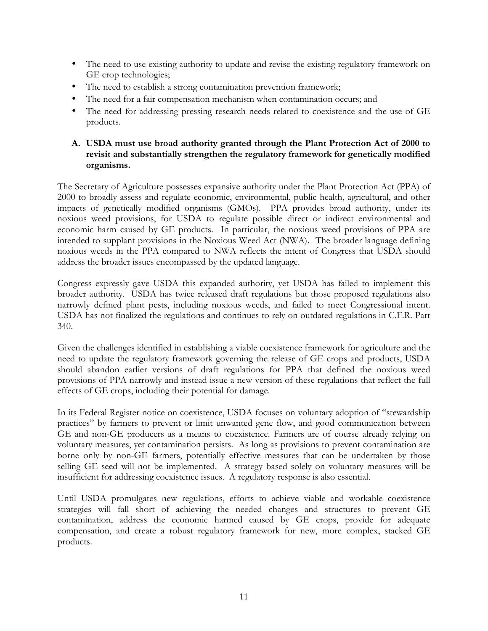- The need to use existing authority to update and revise the existing regulatory framework on GE crop technologies;
- The need to establish a strong contamination prevention framework;
- The need for a fair compensation mechanism when contamination occurs; and
- The need for addressing pressing research needs related to coexistence and the use of GE products.

### **A. USDA must use broad authority granted through the Plant Protection Act of 2000 to revisit and substantially strengthen the regulatory framework for genetically modified organisms.**

The Secretary of Agriculture possesses expansive authority under the Plant Protection Act (PPA) of 2000 to broadly assess and regulate economic, environmental, public health, agricultural, and other impacts of genetically modified organisms (GMOs). PPA provides broad authority, under its noxious weed provisions, for USDA to regulate possible direct or indirect environmental and economic harm caused by GE products. In particular, the noxious weed provisions of PPA are intended to supplant provisions in the Noxious Weed Act (NWA). The broader language defining noxious weeds in the PPA compared to NWA reflects the intent of Congress that USDA should address the broader issues encompassed by the updated language.

Congress expressly gave USDA this expanded authority, yet USDA has failed to implement this broader authority. USDA has twice released draft regulations but those proposed regulations also narrowly defined plant pests, including noxious weeds, and failed to meet Congressional intent. USDA has not finalized the regulations and continues to rely on outdated regulations in C.F.R. Part 340.

Given the challenges identified in establishing a viable coexistence framework for agriculture and the need to update the regulatory framework governing the release of GE crops and products, USDA should abandon earlier versions of draft regulations for PPA that defined the noxious weed provisions of PPA narrowly and instead issue a new version of these regulations that reflect the full effects of GE crops, including their potential for damage.

In its Federal Register notice on coexistence, USDA focuses on voluntary adoption of "stewardship practices" by farmers to prevent or limit unwanted gene flow, and good communication between GE and non-GE producers as a means to coexistence. Farmers are of course already relying on voluntary measures, yet contamination persists. As long as provisions to prevent contamination are borne only by non-GE farmers, potentially effective measures that can be undertaken by those selling GE seed will not be implemented. A strategy based solely on voluntary measures will be insufficient for addressing coexistence issues. A regulatory response is also essential.

Until USDA promulgates new regulations, efforts to achieve viable and workable coexistence strategies will fall short of achieving the needed changes and structures to prevent GE contamination, address the economic harmed caused by GE crops, provide for adequate compensation, and create a robust regulatory framework for new, more complex, stacked GE products.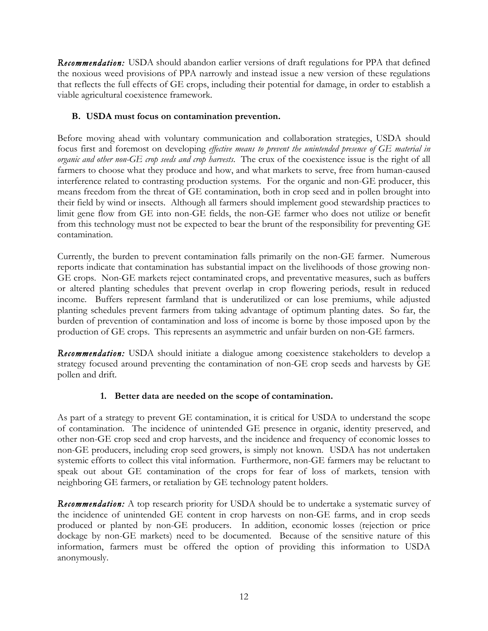*Recommendation:* USDA should abandon earlier versions of draft regulations for PPA that defined the noxious weed provisions of PPA narrowly and instead issue a new version of these regulations that reflects the full effects of GE crops, including their potential for damage, in order to establish a viable agricultural coexistence framework.

## **B. USDA must focus on contamination prevention.**

Before moving ahead with voluntary communication and collaboration strategies, USDA should focus first and foremost on developing *effective means to prevent the unintended presence of GE material in organic and other non-GE crop seeds and crop harvests*. The crux of the coexistence issue is the right of all farmers to choose what they produce and how, and what markets to serve, free from human-caused interference related to contrasting production systems. For the organic and non-GE producer, this means freedom from the threat of GE contamination, both in crop seed and in pollen brought into their field by wind or insects. Although all farmers should implement good stewardship practices to limit gene flow from GE into non-GE fields, the non-GE farmer who does not utilize or benefit from this technology must not be expected to bear the brunt of the responsibility for preventing GE contamination.

Currently, the burden to prevent contamination falls primarily on the non-GE farmer. Numerous reports indicate that contamination has substantial impact on the livelihoods of those growing non-GE crops. Non-GE markets reject contaminated crops, and preventative measures, such as buffers or altered planting schedules that prevent overlap in crop flowering periods, result in reduced income. Buffers represent farmland that is underutilized or can lose premiums, while adjusted planting schedules prevent farmers from taking advantage of optimum planting dates. So far, the burden of prevention of contamination and loss of income is borne by those imposed upon by the production of GE crops. This represents an asymmetric and unfair burden on non-GE farmers.

*Recommendation:* USDA should initiate a dialogue among coexistence stakeholders to develop a strategy focused around preventing the contamination of non-GE crop seeds and harvests by GE pollen and drift.

# **1. Better data are needed on the scope of contamination.**

As part of a strategy to prevent GE contamination, it is critical for USDA to understand the scope of contamination. The incidence of unintended GE presence in organic, identity preserved, and other non-GE crop seed and crop harvests, and the incidence and frequency of economic losses to non-GE producers, including crop seed growers, is simply not known. USDA has not undertaken systemic efforts to collect this vital information. Furthermore, non-GE farmers may be reluctant to speak out about GE contamination of the crops for fear of loss of markets, tension with neighboring GE farmers, or retaliation by GE technology patent holders.

*Recommendation:* A top research priority for USDA should be to undertake a systematic survey of the incidence of unintended GE content in crop harvests on non-GE farms, and in crop seeds produced or planted by non-GE producers. In addition, economic losses (rejection or price dockage by non-GE markets) need to be documented. Because of the sensitive nature of this information, farmers must be offered the option of providing this information to USDA anonymously.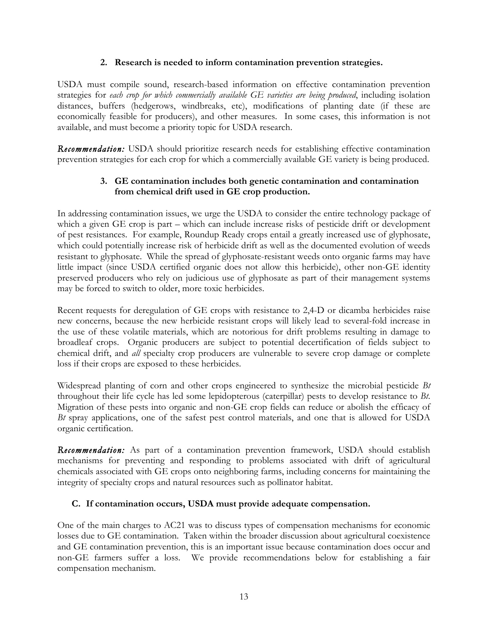#### **2. Research is needed to inform contamination prevention strategies.**

USDA must compile sound, research-based information on effective contamination prevention strategies for *each crop for which commercially available GE varieties are being produced*, including isolation distances, buffers (hedgerows, windbreaks, etc), modifications of planting date (if these are economically feasible for producers), and other measures. In some cases, this information is not available, and must become a priority topic for USDA research.

*Recommendation:* USDA should prioritize research needs for establishing effective contamination prevention strategies for each crop for which a commercially available GE variety is being produced.

### **3. GE contamination includes both genetic contamination and contamination from chemical drift used in GE crop production.**

In addressing contamination issues, we urge the USDA to consider the entire technology package of which a given GE crop is part – which can include increase risks of pesticide drift or development of pest resistances. For example, Roundup Ready crops entail a greatly increased use of glyphosate, which could potentially increase risk of herbicide drift as well as the documented evolution of weeds resistant to glyphosate. While the spread of glyphosate-resistant weeds onto organic farms may have little impact (since USDA certified organic does not allow this herbicide), other non-GE identity preserved producers who rely on judicious use of glyphosate as part of their management systems may be forced to switch to older, more toxic herbicides.

Recent requests for deregulation of GE crops with resistance to 2,4-D or dicamba herbicides raise new concerns, because the new herbicide resistant crops will likely lead to several-fold increase in the use of these volatile materials, which are notorious for drift problems resulting in damage to broadleaf crops. Organic producers are subject to potential decertification of fields subject to chemical drift, and *all* specialty crop producers are vulnerable to severe crop damage or complete loss if their crops are exposed to these herbicides.

Widespread planting of corn and other crops engineered to synthesize the microbial pesticide *Bt* throughout their life cycle has led some lepidopterous (caterpillar) pests to develop resistance to *Bt*. Migration of these pests into organic and non-GE crop fields can reduce or abolish the efficacy of *Bt* spray applications, one of the safest pest control materials, and one that is allowed for USDA organic certification.

*Recommendation:* As part of a contamination prevention framework, USDA should establish mechanisms for preventing and responding to problems associated with drift of agricultural chemicals associated with GE crops onto neighboring farms, including concerns for maintaining the integrity of specialty crops and natural resources such as pollinator habitat.

# **C. If contamination occurs, USDA must provide adequate compensation.**

One of the main charges to AC21 was to discuss types of compensation mechanisms for economic losses due to GE contamination. Taken within the broader discussion about agricultural coexistence and GE contamination prevention, this is an important issue because contamination does occur and non-GE farmers suffer a loss. We provide recommendations below for establishing a fair compensation mechanism.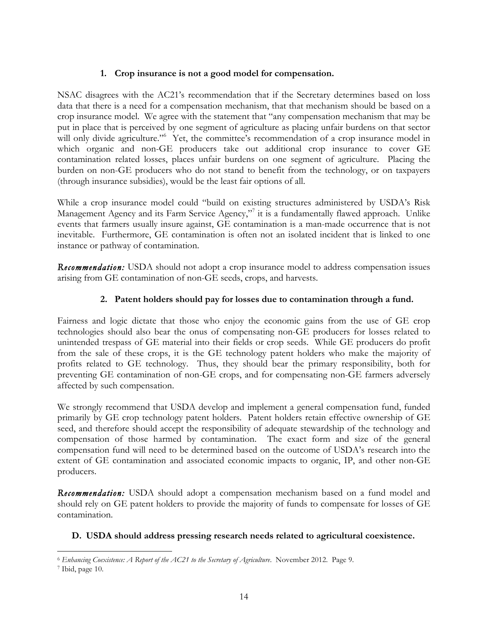### **1. Crop insurance is not a good model for compensation.**

NSAC disagrees with the AC21's recommendation that if the Secretary determines based on loss data that there is a need for a compensation mechanism, that that mechanism should be based on a crop insurance model. We agree with the statement that "any compensation mechanism that may be put in place that is perceived by one segment of agriculture as placing unfair burdens on that sector will only divide agriculture."<sup>6</sup> Yet, the committee's recommendation of a crop insurance model in which organic and non-GE producers take out additional crop insurance to cover GE contamination related losses, places unfair burdens on one segment of agriculture. Placing the burden on non-GE producers who do not stand to benefit from the technology, or on taxpayers (through insurance subsidies), would be the least fair options of all.

While a crop insurance model could "build on existing structures administered by USDA's Risk Management Agency and its Farm Service Agency,"<sup>7</sup> it is a fundamentally flawed approach. Unlike events that farmers usually insure against, GE contamination is a man-made occurrence that is not inevitable. Furthermore, GE contamination is often not an isolated incident that is linked to one instance or pathway of contamination.

*Recommendation:* USDA should not adopt a crop insurance model to address compensation issues arising from GE contamination of non-GE seeds, crops, and harvests.

# **2. Patent holders should pay for losses due to contamination through a fund.**

Fairness and logic dictate that those who enjoy the economic gains from the use of GE crop technologies should also bear the onus of compensating non-GE producers for losses related to unintended trespass of GE material into their fields or crop seeds. While GE producers do profit from the sale of these crops, it is the GE technology patent holders who make the majority of profits related to GE technology. Thus, they should bear the primary responsibility, both for preventing GE contamination of non-GE crops, and for compensating non-GE farmers adversely affected by such compensation.

We strongly recommend that USDA develop and implement a general compensation fund, funded primarily by GE crop technology patent holders. Patent holders retain effective ownership of GE seed, and therefore should accept the responsibility of adequate stewardship of the technology and compensation of those harmed by contamination. The exact form and size of the general compensation fund will need to be determined based on the outcome of USDA's research into the extent of GE contamination and associated economic impacts to organic, IP, and other non-GE producers.

*Recommendation:* USDA should adopt a compensation mechanism based on a fund model and should rely on GE patent holders to provide the majority of funds to compensate for losses of GE contamination.

# **D. USDA should address pressing research needs related to agricultural coexistence.**

 $\overline{a}$ <sup>6</sup> *Enhancing Coexistence: A Report of the AC21 to the Secretary of Agriculture*. November 2012. Page 9.

<sup>7</sup> Ibid, page 10.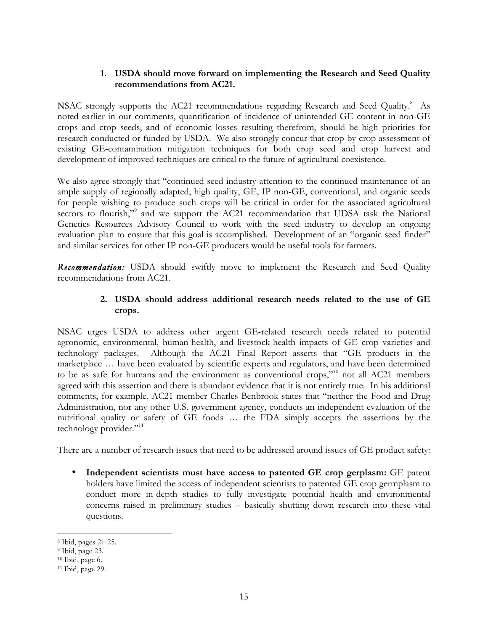### **1. USDA should move forward on implementing the Research and Seed Quality recommendations from AC21.**

NSAC strongly supports the AC21 recommendations regarding Research and Seed Quality.<sup>8</sup> As noted earlier in our comments, quantification of incidence of unintended GE content in non-GE crops and crop seeds, and of economic losses resulting therefrom, should be high priorities for research conducted or funded by USDA. We also strongly concur that crop-by-crop assessment of existing GE-contamination mitigation techniques for both crop seed and crop harvest and development of improved techniques are critical to the future of agricultural coexistence.

We also agree strongly that "continued seed industry attention to the continued maintenance of an ample supply of regionally adapted, high quality, GE, IP non-GE, conventional, and organic seeds for people wishing to produce such crops will be critical in order for the associated agricultural sectors to flourish,"<sup>9</sup> and we support the AC21 recommendation that UDSA task the National Genetics Resources Advisory Council to work with the seed industry to develop an ongoing evaluation plan to ensure that this goal is accomplished. Development of an "organic seed finder" and similar services for other IP non-GE producers would be useful tools for farmers.

*Recommendation:* USDA should swiftly move to implement the Research and Seed Quality recommendations from AC21.

### **2. USDA should address additional research needs related to the use of GE crops.**

NSAC urges USDA to address other urgent GE-related research needs related to potential agronomic, environmental, human-health, and livestock-health impacts of GE crop varieties and technology packages. Although the AC21 Final Report asserts that "GE products in the marketplace … have been evaluated by scientific experts and regulators, and have been determined to be as safe for humans and the environment as conventional crops,"<sup>10</sup> not all AC21 members agreed with this assertion and there is abundant evidence that it is not entirely true. In his additional comments, for example, AC21 member Charles Benbrook states that "neither the Food and Drug Administration, nor any other U.S. government agency, conducts an independent evaluation of the nutritional quality or safety of GE foods … the FDA simply accepts the assertions by the technology provider."<sup>11</sup>

There are a number of research issues that need to be addressed around issues of GE product safety:

• **Independent scientists must have access to patented GE crop gerplasm:** GE patent holders have limited the access of independent scientists to patented GE crop germplasm to conduct more in-depth studies to fully investigate potential health and environmental concerns raised in preliminary studies – basically shutting down research into these vital questions.

 $\overline{a}$ 

<sup>8</sup> Ibid, pages 21-25.

<sup>9</sup> Ibid, page 23.

<sup>10</sup> Ibid, page 6.

<sup>11</sup> Ibid, page 29.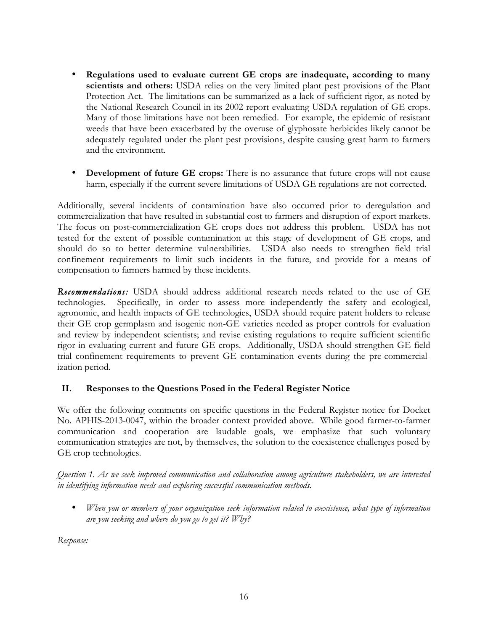- **Regulations used to evaluate current GE crops are inadequate, according to many scientists and others:** USDA relies on the very limited plant pest provisions of the Plant Protection Act. The limitations can be summarized as a lack of sufficient rigor, as noted by the National Research Council in its 2002 report evaluating USDA regulation of GE crops. Many of those limitations have not been remedied. For example, the epidemic of resistant weeds that have been exacerbated by the overuse of glyphosate herbicides likely cannot be adequately regulated under the plant pest provisions, despite causing great harm to farmers and the environment.
- **Development of future GE crops:** There is no assurance that future crops will not cause harm, especially if the current severe limitations of USDA GE regulations are not corrected.

Additionally, several incidents of contamination have also occurred prior to deregulation and commercialization that have resulted in substantial cost to farmers and disruption of export markets. The focus on post-commercialization GE crops does not address this problem. USDA has not tested for the extent of possible contamination at this stage of development of GE crops, and should do so to better determine vulnerabilities. USDA also needs to strengthen field trial confinement requirements to limit such incidents in the future, and provide for a means of compensation to farmers harmed by these incidents.

*Recommendations:* USDA should address additional research needs related to the use of GE technologies. Specifically, in order to assess more independently the safety and ecological, agronomic, and health impacts of GE technologies, USDA should require patent holders to release their GE crop germplasm and isogenic non-GE varieties needed as proper controls for evaluation and review by independent scientists; and revise existing regulations to require sufficient scientific rigor in evaluating current and future GE crops. Additionally, USDA should strengthen GE field trial confinement requirements to prevent GE contamination events during the pre-commercialization period.

### **II. Responses to the Questions Posed in the Federal Register Notice**

We offer the following comments on specific questions in the Federal Register notice for Docket No. APHIS-2013-0047, within the broader context provided above. While good farmer-to-farmer communication and cooperation are laudable goals, we emphasize that such voluntary communication strategies are not, by themselves, the solution to the coexistence challenges posed by GE crop technologies.

*Question 1. As we seek improved communication and collaboration among agriculture stakeholders, we are interested in identifying information needs and exploring successful communication methods.*

• *When you or members of your organization seek information related to coexistence, what type of information are you seeking and where do you go to get it? Why?*

*Response:*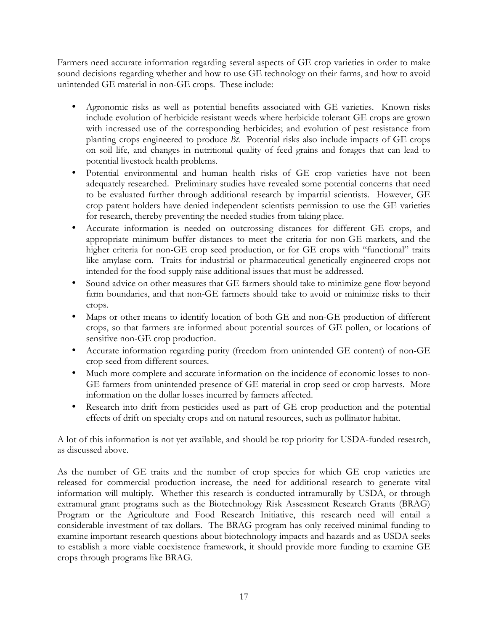Farmers need accurate information regarding several aspects of GE crop varieties in order to make sound decisions regarding whether and how to use GE technology on their farms, and how to avoid unintended GE material in non-GE crops. These include:

- Agronomic risks as well as potential benefits associated with GE varieties. Known risks include evolution of herbicide resistant weeds where herbicide tolerant GE crops are grown with increased use of the corresponding herbicides; and evolution of pest resistance from planting crops engineered to produce *Bt*. Potential risks also include impacts of GE crops on soil life, and changes in nutritional quality of feed grains and forages that can lead to potential livestock health problems.
- Potential environmental and human health risks of GE crop varieties have not been adequately researched. Preliminary studies have revealed some potential concerns that need to be evaluated further through additional research by impartial scientists. However, GE crop patent holders have denied independent scientists permission to use the GE varieties for research, thereby preventing the needed studies from taking place.
- Accurate information is needed on outcrossing distances for different GE crops, and appropriate minimum buffer distances to meet the criteria for non-GE markets, and the higher criteria for non-GE crop seed production, or for GE crops with "functional" traits like amylase corn. Traits for industrial or pharmaceutical genetically engineered crops not intended for the food supply raise additional issues that must be addressed.
- Sound advice on other measures that GE farmers should take to minimize gene flow beyond farm boundaries, and that non-GE farmers should take to avoid or minimize risks to their crops.
- Maps or other means to identify location of both GE and non-GE production of different crops, so that farmers are informed about potential sources of GE pollen, or locations of sensitive non-GE crop production.
- Accurate information regarding purity (freedom from unintended GE content) of non-GE crop seed from different sources.
- Much more complete and accurate information on the incidence of economic losses to non-GE farmers from unintended presence of GE material in crop seed or crop harvests. More information on the dollar losses incurred by farmers affected.
- Research into drift from pesticides used as part of GE crop production and the potential effects of drift on specialty crops and on natural resources, such as pollinator habitat.

A lot of this information is not yet available, and should be top priority for USDA-funded research, as discussed above.

As the number of GE traits and the number of crop species for which GE crop varieties are released for commercial production increase, the need for additional research to generate vital information will multiply. Whether this research is conducted intramurally by USDA, or through extramural grant programs such as the Biotechnology Risk Assessment Research Grants (BRAG) Program or the Agriculture and Food Research Initiative, this research need will entail a considerable investment of tax dollars. The BRAG program has only received minimal funding to examine important research questions about biotechnology impacts and hazards and as USDA seeks to establish a more viable coexistence framework, it should provide more funding to examine GE crops through programs like BRAG.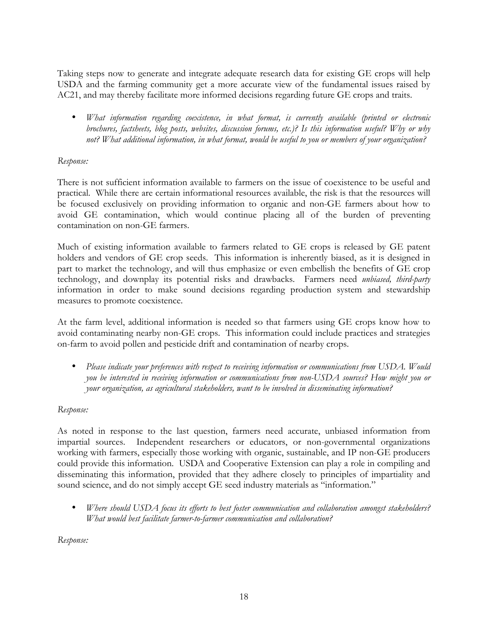Taking steps now to generate and integrate adequate research data for existing GE crops will help USDA and the farming community get a more accurate view of the fundamental issues raised by AC21, and may thereby facilitate more informed decisions regarding future GE crops and traits.

• *What information regarding coexistence, in what format, is currently available (printed or electronic brochures, factsheets, blog posts, websites, discussion forums, etc.)? Is this information useful? Why or why not? What additional information, in what format, would be useful to you or members of your organization?* 

### *Response:*

There is not sufficient information available to farmers on the issue of coexistence to be useful and practical. While there are certain informational resources available, the risk is that the resources will be focused exclusively on providing information to organic and non-GE farmers about how to avoid GE contamination, which would continue placing all of the burden of preventing contamination on non-GE farmers.

Much of existing information available to farmers related to GE crops is released by GE patent holders and vendors of GE crop seeds. This information is inherently biased, as it is designed in part to market the technology, and will thus emphasize or even embellish the benefits of GE crop technology, and downplay its potential risks and drawbacks. Farmers need *unbiased, third-party*  information in order to make sound decisions regarding production system and stewardship measures to promote coexistence.

At the farm level, additional information is needed so that farmers using GE crops know how to avoid contaminating nearby non-GE crops. This information could include practices and strategies on-farm to avoid pollen and pesticide drift and contamination of nearby crops.

• *Please indicate your preferences with respect to receiving information or communications from USDA. Would you be interested in receiving information or communications from non-USDA sources? How might you or your organization, as agricultural stakeholders, want to be involved in disseminating information?* 

### *Response:*

As noted in response to the last question, farmers need accurate, unbiased information from impartial sources. Independent researchers or educators, or non-governmental organizations working with farmers, especially those working with organic, sustainable, and IP non-GE producers could provide this information. USDA and Cooperative Extension can play a role in compiling and disseminating this information, provided that they adhere closely to principles of impartiality and sound science, and do not simply accept GE seed industry materials as "information."

• *Where should USDA focus its efforts to best foster communication and collaboration amongst stakeholders? What would best facilitate farmer-to-farmer communication and collaboration?*

*Response:*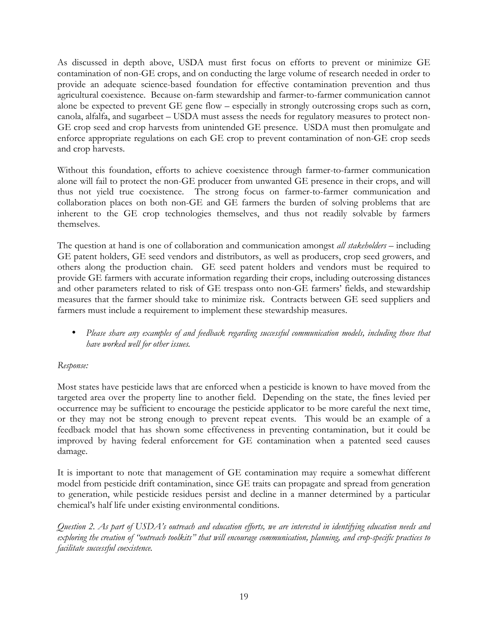As discussed in depth above, USDA must first focus on efforts to prevent or minimize GE contamination of non-GE crops, and on conducting the large volume of research needed in order to provide an adequate science-based foundation for effective contamination prevention and thus agricultural coexistence. Because on-farm stewardship and farmer-to-farmer communication cannot alone be expected to prevent GE gene flow – especially in strongly outcrossing crops such as corn, canola, alfalfa, and sugarbeet – USDA must assess the needs for regulatory measures to protect non-GE crop seed and crop harvests from unintended GE presence. USDA must then promulgate and enforce appropriate regulations on each GE crop to prevent contamination of non-GE crop seeds and crop harvests.

Without this foundation, efforts to achieve coexistence through farmer-to-farmer communication alone will fail to protect the non-GE producer from unwanted GE presence in their crops, and will thus not yield true coexistence. The strong focus on farmer-to-farmer communication and collaboration places on both non-GE and GE farmers the burden of solving problems that are inherent to the GE crop technologies themselves, and thus not readily solvable by farmers themselves.

The question at hand is one of collaboration and communication amongst *all stakeholders* – including GE patent holders, GE seed vendors and distributors, as well as producers, crop seed growers, and others along the production chain. GE seed patent holders and vendors must be required to provide GE farmers with accurate information regarding their crops, including outcrossing distances and other parameters related to risk of GE trespass onto non-GE farmers' fields, and stewardship measures that the farmer should take to minimize risk. Contracts between GE seed suppliers and farmers must include a requirement to implement these stewardship measures.

• *Please share any examples of and feedback regarding successful communication models, including those that have worked well for other issues.*

### *Response:*

Most states have pesticide laws that are enforced when a pesticide is known to have moved from the targeted area over the property line to another field. Depending on the state, the fines levied per occurrence may be sufficient to encourage the pesticide applicator to be more careful the next time, or they may not be strong enough to prevent repeat events. This would be an example of a feedback model that has shown some effectiveness in preventing contamination, but it could be improved by having federal enforcement for GE contamination when a patented seed causes damage.

It is important to note that management of GE contamination may require a somewhat different model from pesticide drift contamination, since GE traits can propagate and spread from generation to generation, while pesticide residues persist and decline in a manner determined by a particular chemical's half life under existing environmental conditions.

*Question 2. As part of USDA's outreach and education efforts, we are interested in identifying education needs and exploring the creation of "outreach toolkits" that will encourage communication, planning, and crop-specific practices to facilitate successful coexistence.*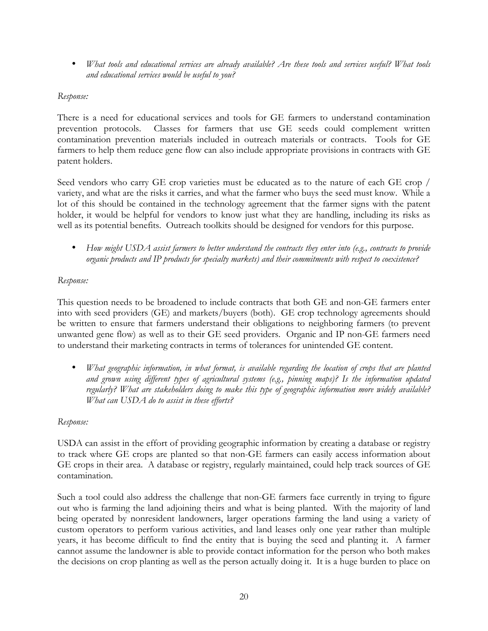• *What tools and educational services are already available? Are these tools and services useful? What tools and educational services would be useful to you?*

### *Response:*

There is a need for educational services and tools for GE farmers to understand contamination prevention protocols. Classes for farmers that use GE seeds could complement written contamination prevention materials included in outreach materials or contracts. Tools for GE farmers to help them reduce gene flow can also include appropriate provisions in contracts with GE patent holders.

Seed vendors who carry GE crop varieties must be educated as to the nature of each GE crop / variety, and what are the risks it carries, and what the farmer who buys the seed must know. While a lot of this should be contained in the technology agreement that the farmer signs with the patent holder, it would be helpful for vendors to know just what they are handling, including its risks as well as its potential benefits. Outreach toolkits should be designed for vendors for this purpose.

• *How might USDA assist farmers to better understand the contracts they enter into (e.g., contracts to provide organic products and IP products for specialty markets) and their commitments with respect to coexistence?* 

### *Response:*

This question needs to be broadened to include contracts that both GE and non-GE farmers enter into with seed providers (GE) and markets/buyers (both). GE crop technology agreements should be written to ensure that farmers understand their obligations to neighboring farmers (to prevent unwanted gene flow) as well as to their GE seed providers. Organic and IP non-GE farmers need to understand their marketing contracts in terms of tolerances for unintended GE content.

• *What geographic information, in what format, is available regarding the location of crops that are planted and grown using different types of agricultural systems (e.g., pinning maps)? Is the information updated regularly? What are stakeholders doing to make this type of geographic information more widely available? What can USDA do to assist in these efforts?*

### *Response:*

USDA can assist in the effort of providing geographic information by creating a database or registry to track where GE crops are planted so that non-GE farmers can easily access information about GE crops in their area. A database or registry, regularly maintained, could help track sources of GE contamination.

Such a tool could also address the challenge that non-GE farmers face currently in trying to figure out who is farming the land adjoining theirs and what is being planted. With the majority of land being operated by nonresident landowners, larger operations farming the land using a variety of custom operators to perform various activities, and land leases only one year rather than multiple years, it has become difficult to find the entity that is buying the seed and planting it. A farmer cannot assume the landowner is able to provide contact information for the person who both makes the decisions on crop planting as well as the person actually doing it. It is a huge burden to place on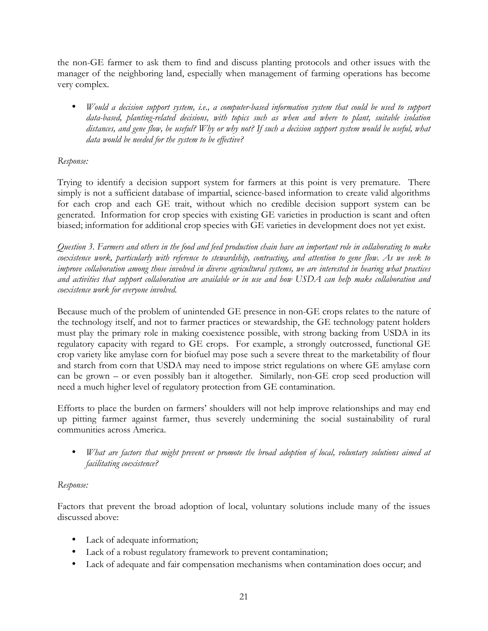the non-GE farmer to ask them to find and discuss planting protocols and other issues with the manager of the neighboring land, especially when management of farming operations has become very complex.

• *Would a decision support system, i.e., a computer-based information system that could be used to support data-based, planting-related decisions, with topics such as when and where to plant, suitable isolation distances, and gene flow, be useful? Why or why not? If such a decision support system would be useful, what data would be needed for the system to be effective?* 

# *Response:*

Trying to identify a decision support system for farmers at this point is very premature. There simply is not a sufficient database of impartial, science-based information to create valid algorithms for each crop and each GE trait, without which no credible decision support system can be generated. Information for crop species with existing GE varieties in production is scant and often biased; information for additional crop species with GE varieties in development does not yet exist.

*Question 3. Farmers and others in the food and feed production chain have an important role in collaborating to make coexistence work, particularly with reference to stewardship, contracting, and attention to gene flow. As we seek to improve collaboration among those involved in diverse agricultural systems, we are interested in hearing what practices and activities that support collaboration are available or in use and how USDA can help make collaboration and coexistence work for everyone involved.* 

Because much of the problem of unintended GE presence in non-GE crops relates to the nature of the technology itself, and not to farmer practices or stewardship, the GE technology patent holders must play the primary role in making coexistence possible, with strong backing from USDA in its regulatory capacity with regard to GE crops. For example, a strongly outcrossed, functional GE crop variety like amylase corn for biofuel may pose such a severe threat to the marketability of flour and starch from corn that USDA may need to impose strict regulations on where GE amylase corn can be grown – or even possibly ban it altogether. Similarly, non-GE crop seed production will need a much higher level of regulatory protection from GE contamination.

Efforts to place the burden on farmers' shoulders will not help improve relationships and may end up pitting farmer against farmer, thus severely undermining the social sustainability of rural communities across America.

• *What are factors that might prevent or promote the broad adoption of local, voluntary solutions aimed at facilitating coexistence?*

### *Response:*

Factors that prevent the broad adoption of local, voluntary solutions include many of the issues discussed above:

- Lack of adequate information;
- Lack of a robust regulatory framework to prevent contamination;
- Lack of adequate and fair compensation mechanisms when contamination does occur; and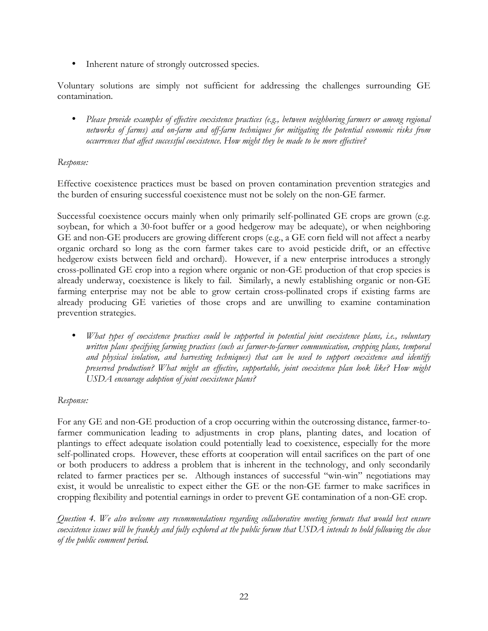• Inherent nature of strongly outcrossed species.

Voluntary solutions are simply not sufficient for addressing the challenges surrounding GE contamination.

• *Please provide examples of effective coexistence practices (e.g., between neighboring farmers or among regional networks of farms) and on-farm and off-farm techniques for mitigating the potential economic risks from occurrences that affect successful coexistence. How might they be made to be more effective?*

### *Response:*

Effective coexistence practices must be based on proven contamination prevention strategies and the burden of ensuring successful coexistence must not be solely on the non-GE farmer.

Successful coexistence occurs mainly when only primarily self-pollinated GE crops are grown (e.g. soybean, for which a 30-foot buffer or a good hedgerow may be adequate), or when neighboring GE and non-GE producers are growing different crops (e.g., a GE corn field will not affect a nearby organic orchard so long as the corn farmer takes care to avoid pesticide drift, or an effective hedgerow exists between field and orchard). However, if a new enterprise introduces a strongly cross-pollinated GE crop into a region where organic or non-GE production of that crop species is already underway, coexistence is likely to fail. Similarly, a newly establishing organic or non-GE farming enterprise may not be able to grow certain cross-pollinated crops if existing farms are already producing GE varieties of those crops and are unwilling to examine contamination prevention strategies.

• *What types of coexistence practices could be supported in potential joint coexistence plans, i.e., voluntary written plans specifying farming practices (such as farmer-to-farmer communication, cropping plans, temporal and physical isolation, and harvesting techniques) that can be used to support coexistence and identify preserved production? What might an effective, supportable, joint coexistence plan look like? How might USDA encourage adoption of joint coexistence plans?* 

### *Response:*

For any GE and non-GE production of a crop occurring within the outcrossing distance, farmer-tofarmer communication leading to adjustments in crop plans, planting dates, and location of plantings to effect adequate isolation could potentially lead to coexistence, especially for the more self-pollinated crops. However, these efforts at cooperation will entail sacrifices on the part of one or both producers to address a problem that is inherent in the technology, and only secondarily related to farmer practices per se. Although instances of successful "win-win" negotiations may exist, it would be unrealistic to expect either the GE or the non-GE farmer to make sacrifices in cropping flexibility and potential earnings in order to prevent GE contamination of a non-GE crop.

*Question 4. We also welcome any recommendations regarding collaborative meeting formats that would best ensure coexistence issues will be frankly and fully explored at the public forum that USDA intends to hold following the close of the public comment period.*